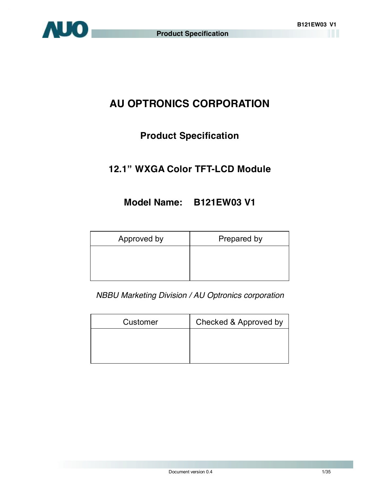

# **AU OPTRONICS CORPORATION**

# **Product Specification**

# **12.1" WXGA Color TFT-LCD Module**

# **Model Name: B121EW03 V1**

| Approved by | Prepared by |
|-------------|-------------|
|             |             |
|             |             |

*NBBU Marketing Division / AU Optronics corporation*

| Customer | Checked & Approved by |  |  |
|----------|-----------------------|--|--|
|          |                       |  |  |
|          |                       |  |  |
|          |                       |  |  |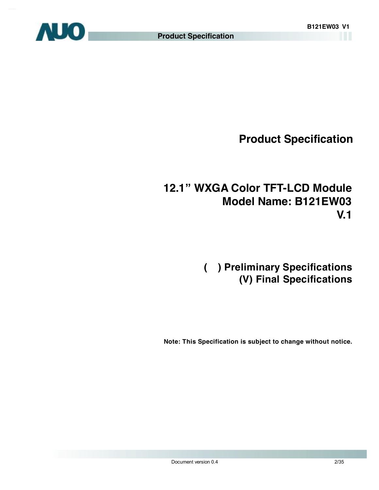

# **12.1" WXGA Color TFT-LCD Module Model Name: B121EW03 V.1**

# **( ) Preliminary Specifications (V) Final Specifications**

 **Note: This Specification is subject to change without notice.**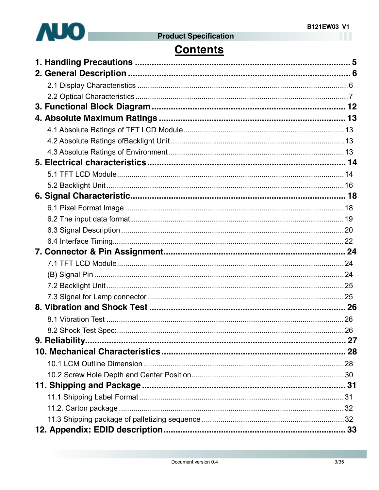

# **Contents**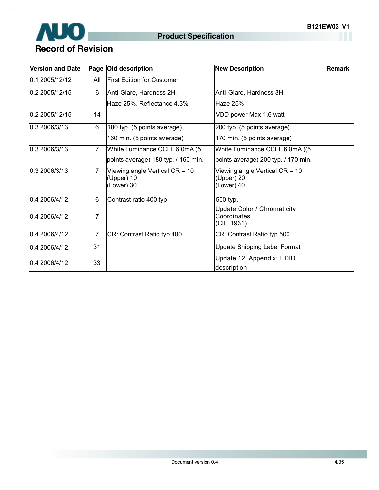

| <b>Version and Date</b>                                                                         |                | Page   Old description              | <b>New Description</b>                                          | Remark |
|-------------------------------------------------------------------------------------------------|----------------|-------------------------------------|-----------------------------------------------------------------|--------|
| 0.1 2005/12/12                                                                                  | All            | <b>First Edition for Customer</b>   |                                                                 |        |
| 0.2 2005/12/15<br>6                                                                             |                | Anti-Glare, Hardness 2H,            | Anti-Glare, Hardness 3H,                                        |        |
|                                                                                                 |                | Haze 25%, Reflectance 4.3%          | Haze 25%                                                        |        |
| 0.2 2005/12/15                                                                                  | 14             |                                     | VDD power Max 1.6 watt                                          |        |
| 0.3 2006/3/13                                                                                   | 6              | 180 typ. (5 points average)         | 200 typ. (5 points average)                                     |        |
|                                                                                                 |                | 160 min. (5 points average)         | 170 min. (5 points average)                                     |        |
| 0.3 2006/3/13                                                                                   | $\overline{7}$ | White Luminance CCFL 6.0mA (5       | White Luminance CCFL 6.0mA ((5)                                 |        |
|                                                                                                 |                | points average) 180 typ. / 160 min. | points average) 200 typ. / 170 min.                             |        |
| 0.3 2006/3/13<br>$\overline{7}$<br>Viewing angle Vertical $CR = 10$<br>(Upper) 10<br>(Lower) 30 |                |                                     | Viewing angle Vertical CR = 10<br>(Upper) 20<br>(Lower) 40      |        |
| 0.4 2006/4/12                                                                                   | 6              | Contrast ratio 400 typ              | 500 typ.                                                        |        |
| 7<br>0.4 2006/4/12                                                                              |                |                                     | <b>Update Color / Chromaticity</b><br>Coordinates<br>(CIE 1931) |        |
| 0.4 2006/4/12                                                                                   | 7              | CR: Contrast Ratio typ 400          | CR: Contrast Ratio typ 500                                      |        |
| 0.4 2006/4/12                                                                                   | 31             | <b>Update Shipping Label Format</b> |                                                                 |        |
| 0.4 2006/4/12                                                                                   | 33             |                                     | Update 12. Appendix: EDID<br>description                        |        |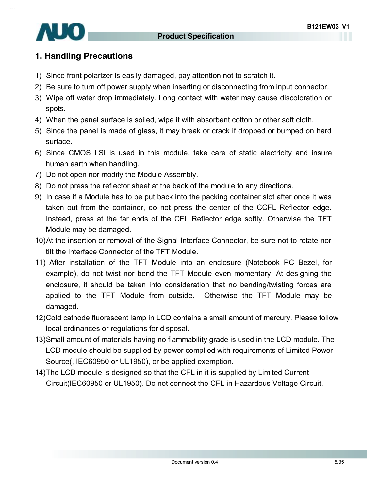

## **1. Handling Precautions**

- 1) Since front polarizer is easily damaged, pay attention not to scratch it.
- 2) Be sure to turn off power supply when inserting or disconnecting from input connector.
- 3) Wipe off water drop immediately. Long contact with water may cause discoloration or spots.
- 4) When the panel surface is soiled, wipe it with absorbent cotton or other soft cloth.
- 5) Since the panel is made of glass, it may break or crack if dropped or bumped on hard surface.
- 6) Since CMOS LSI is used in this module, take care of static electricity and insure human earth when handling.
- 7) Do not open nor modify the Module Assembly.
- 8) Do not press the reflector sheet at the back of the module to any directions.
- 9) In case if a Module has to be put back into the packing container slot after once it was taken out from the container, do not press the center of the CCFL Reflector edge. Instead, press at the far ends of the CFL Reflector edge softly. Otherwise the TFT Module may be damaged.
- 10)At the insertion or removal of the Signal Interface Connector, be sure not to rotate nor tilt the Interface Connector of the TFT Module.
- 11) After installation of the TFT Module into an enclosure (Notebook PC Bezel, for example), do not twist nor bend the TFT Module even momentary. At designing the enclosure, it should be taken into consideration that no bending/twisting forces are applied to the TFT Module from outside. Otherwise the TFT Module may be damaged.
- 12)Cold cathode fluorescent lamp in LCD contains a small amount of mercury. Please follow local ordinances or regulations for disposal.
- 13)Small amount of materials having no flammability grade is used in the LCD module. The LCD module should be supplied by power complied with requirements of Limited Power Source(, IEC60950 or UL1950), or be applied exemption.
- 14)The LCD module is designed so that the CFL in it is supplied by Limited Current Circuit(IEC60950 or UL1950). Do not connect the CFL in Hazardous Voltage Circuit.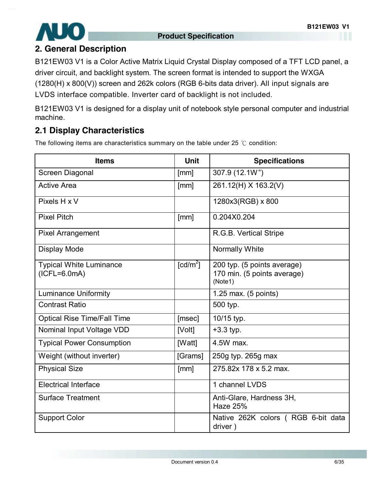

## **2. General Description**

B121EW03 V1 is a Color Active Matrix Liquid Crystal Display composed of a TFT LCD panel, a driver circuit, and backlight system. The screen format is intended to support the WXGA (1280(H) x 800(V)) screen and 262k colors (RGB 6-bits data driver). All input signals are LVDS interface compatible. Inverter card of backlight is not included.

B121EW03 V1 is designed for a display unit of notebook style personal computer and industrial machine.

# **2.1 Display Characteristics**

The following items are characteristics summary on the table under 25 ℃ condition:

| <b>Items</b>                                     | <b>Unit</b>            | <b>Specifications</b>                                                 |
|--------------------------------------------------|------------------------|-----------------------------------------------------------------------|
| Screen Diagonal                                  | [mm]                   | 307.9 (12.1W")                                                        |
| <b>Active Area</b>                               | [mm]                   | 261.12(H) X 163.2(V)                                                  |
| Pixels H x V                                     |                        | 1280x3(RGB) x 800                                                     |
| <b>Pixel Pitch</b>                               | [mm]                   | 0.204X0.204                                                           |
| <b>Pixel Arrangement</b>                         |                        | R.G.B. Vertical Stripe                                                |
| <b>Display Mode</b>                              |                        | <b>Normally White</b>                                                 |
| <b>Typical White Luminance</b><br>$(ICFL=6.0mA)$ | $\lceil cd/m^2 \rceil$ | 200 typ. (5 points average)<br>170 min. (5 points average)<br>(Note1) |
| <b>Luminance Uniformity</b>                      |                        | 1.25 max. (5 points)                                                  |
| <b>Contrast Ratio</b>                            |                        | 500 typ.                                                              |
| <b>Optical Rise Time/Fall Time</b>               | [msec]                 | 10/15 typ.                                                            |
| Nominal Input Voltage VDD                        | [Volt]                 | $+3.3$ typ.                                                           |
| <b>Typical Power Consumption</b>                 | [Watt]                 | 4.5W max.                                                             |
| Weight (without inverter)                        | [Grams]                | 250g typ. 265g max                                                    |
| <b>Physical Size</b>                             | [mm]                   | 275.82x 178 x 5.2 max.                                                |
| <b>Electrical Interface</b>                      |                        | 1 channel LVDS                                                        |
| <b>Surface Treatment</b>                         |                        | Anti-Glare, Hardness 3H,<br>Haze 25%                                  |
| <b>Support Color</b>                             |                        | Native 262K colors (RGB 6-bit data<br>driver)                         |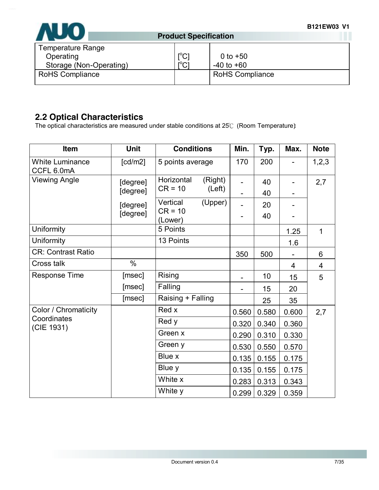

| Temperature Range<br>Operating | $\mathsf{I}^{\circ}$ C | 0 to $+50$             |
|--------------------------------|------------------------|------------------------|
| Storage (Non-Operating)        | $r^{0}$                | $-40$ to $+60$         |
| <b>RoHS Compliance</b>         |                        | <b>RoHS Compliance</b> |

# **2.2 Optical Characteristics**

The optical characteristics are measured under stable conditions at 25℃ (Room Temperature):

| Item                                 | <b>Unit</b> | <b>Conditions</b>     | Min.  | Typ.  | Max.  | <b>Note</b> |
|--------------------------------------|-------------|-----------------------|-------|-------|-------|-------------|
| <b>White Luminance</b><br>CCFL 6.0mA | [cd/m2]     | 5 points average      | 170   | 200   |       | 1,2,3       |
| <b>Viewing Angle</b>                 | [degree]    | Horizontal<br>(Right) |       | 40    |       | 2,7         |
|                                      | [degree]    | $CR = 10$<br>(Left)   |       | 40    |       |             |
|                                      | [degree]    | Vertical<br>(Upper)   |       | 20    |       |             |
|                                      | [degree]    | $CR = 10$<br>(Lower)  |       | 40    |       |             |
| Uniformity                           |             | 5 Points              |       |       | 1.25  | 1           |
| Uniformity                           |             | 13 Points             |       |       | 1.6   |             |
| <b>CR: Contrast Ratio</b>            |             |                       | 350   | 500   |       | 6           |
| Cross talk                           | $\%$        |                       |       |       | 4     | 4           |
| Response Time                        | [msec]      | <b>Rising</b>         |       | 10    | 15    | 5           |
|                                      | [msec]      | Falling               |       | 15    | 20    |             |
|                                      | [msec]      | Raising + Falling     |       | 25    | 35    |             |
| Color / Chromaticity                 |             | Red x                 | 0.560 | 0.580 | 0.600 | 2,7         |
| Coordinates<br>(CIE 1931)            |             | Red y                 | 0.320 | 0.340 | 0.360 |             |
|                                      |             | Green x               | 0.290 | 0.310 | 0.330 |             |
|                                      |             | Green y               | 0.530 | 0.550 | 0.570 |             |
|                                      |             | Blue x                | 0.135 | 0.155 | 0.175 |             |
|                                      |             | Blue y                | 0.135 | 0.155 | 0.175 |             |
|                                      |             | White x               | 0.283 | 0.313 | 0.343 |             |
|                                      |             | White y               | 0.299 | 0.329 | 0.359 |             |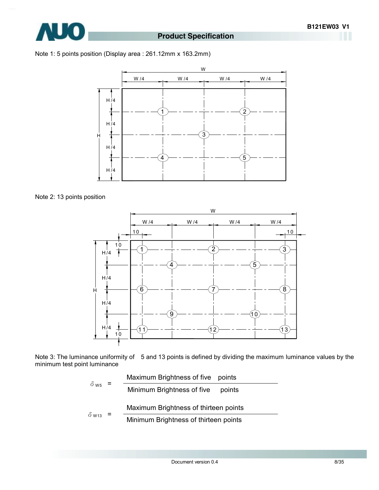Note 1: 5 points position (Display area : 261.12mm x 163.2mm)



Note 2: 13 points position



Note 3: The luminance uniformity of 5 and 13 points is defined by dividing the maximum luminance values by the minimum test point luminance

$$
\delta_{\text{W5}} = \frac{\text{Maximum brightness of five points}}{\text{Minimum brightness of five points}}
$$
\n
$$
\delta_{\text{W13}} = \frac{\text{Maximum brightness of thirteen points}}{\text{Minimum brightness of thirteen points}}
$$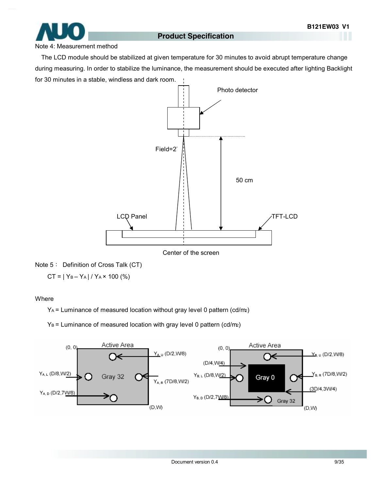

#### Note 4: Measurement method

The LCD module should be stabilized at given temperature for 30 minutes to avoid abrupt temperature change during measuring. In order to stabilize the luminance, the measurement should be executed after lighting Backlight for 30 minutes in a stable, windless and dark room.



Note 5: Definition of Cross Talk (CT)

 $CT = |Y_B - Y_A| / Y_A \times 100$  (%)

#### Where

 $Y_A$  = Luminance of measured location without gray level 0 pattern (cd/m2)

 $Y_B$  = Luminance of measured location with gray level 0 pattern (cd/m<sub>2</sub>)

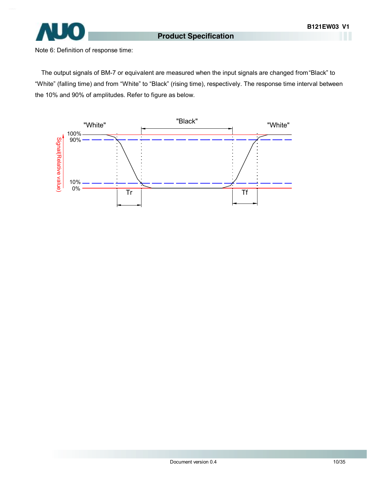

Note 6: Definition of response time:

The output signals of BM-7 or equivalent are measured when the input signals are changed from "Black" to "White" (falling time) and from "White" to "Black" (rising time), respectively. The response time interval between the 10% and 90% of amplitudes. Refer to figure as below.

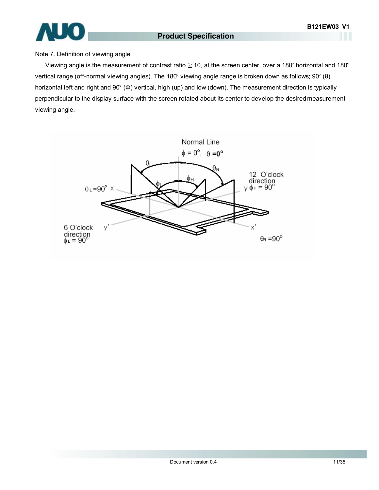

#### Note 7. Definition of viewing angle

Viewing angle is the measurement of contrast ratio  $\geq$  10, at the screen center, over a 180° horizontal and 180° vertical range (off-normal viewing angles). The 180° viewing angle range is broken down as follows; 90° (θ) horizontal left and right and 90° (Φ) vertical, high (up) and low (down). The measurement direction is typically perpendicular to the display surface with the screen rotated about its center to develop the desired measurement viewing angle.

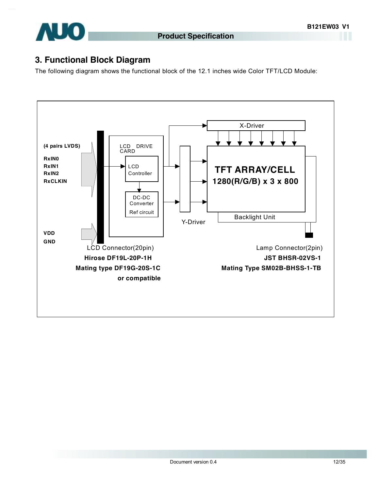

## **3. Functional Block Diagram**

The following diagram shows the functional block of the 12.1 inches wide Color TFT/LCD Module:

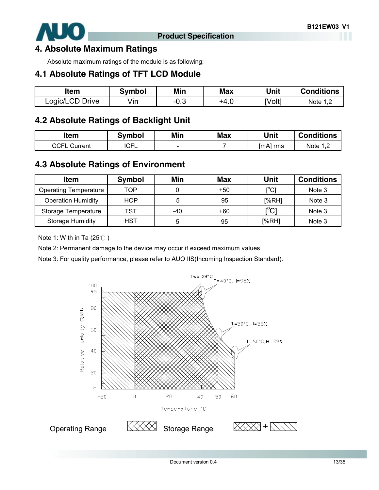

#### **4. Absolute Maximum Ratings**

Absolute maximum ratings of the module is as following:

## **4.1 Absolute Ratings of TFT LCD Module**

| ltem            | Svmbol | Min    | Max  | Unit   | <b>Conditions</b> |
|-----------------|--------|--------|------|--------|-------------------|
| Logic/LCD Drive | √in    | $-0.3$ | +4.ບ | [Volt] | Note 1,           |

## **4.2 Absolute Ratings of Backlight Unit**

| Item                | <b>Symbol</b> | Min    | <b>Max</b> | Unit     | <b>Conditions</b> |
|---------------------|---------------|--------|------------|----------|-------------------|
| <b>CCFL Current</b> | <b>ICFL</b>   | $\sim$ |            | [mA] rms | Note $1,2$        |
|                     |               |        |            |          |                   |

## **4.3 Absolute Ratings of Environment**

| <b>Item</b>                  | <b>Symbol</b> | Min | <b>Max</b> | Unit                                        | <b>Conditions</b> |
|------------------------------|---------------|-----|------------|---------------------------------------------|-------------------|
| <b>Operating Temperature</b> | TOP           |     | $+50$      | [°C]                                        | Note 3            |
| <b>Operation Humidity</b>    | HOP           | 5   | 95         | [%RH]                                       | Note 3            |
| Storage Temperature          | TST           | -40 | +60        | $\mathop{\rm l\mskip -3.5mu\rm C}\nolimits$ | Note 3            |
| <b>Storage Humidity</b>      | HST           | 5   | 95         | [%RH]                                       | Note 3            |

Note 1: With in Ta (25℃ )

Note 2: Permanent damage to the device may occur if exceed maximum values

Note 3: For quality performance, please refer to AUO IIS(Incoming Inspection Standard).

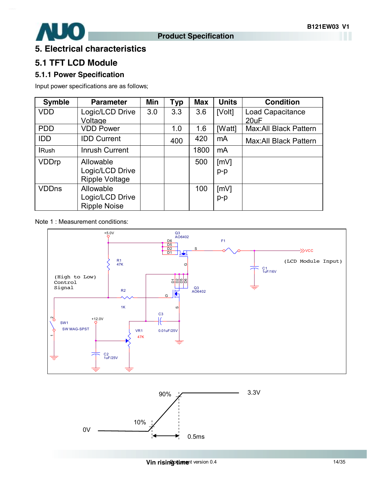

## **5. Electrical characteristics**

## **5.1 TFT LCD Module**

#### **5.1.1 Power Specification**

Input power specifications are as follows;

| <b>Symble</b> | <b>Parameter</b>      | Min | <b>Typ</b> | <b>Max</b> | <b>Units</b> | <b>Condition</b>             |
|---------------|-----------------------|-----|------------|------------|--------------|------------------------------|
| <b>VDD</b>    | Logic/LCD Drive       | 3.0 | 3.3        | 3.6        | [Volt]       | Load Capacitance             |
|               | Voltage               |     |            |            |              | 20uF                         |
| <b>PDD</b>    | <b>VDD Power</b>      |     | 1.0        | 1.6        | [Watt]       | <b>Max:All Black Pattern</b> |
| <b>IDD</b>    | <b>IDD Current</b>    |     | 400        | 420        | mA           | Max: All Black Pattern       |
| <b>IRush</b>  | <b>Inrush Current</b> |     |            | 1800       | mA           |                              |
| <b>VDDrp</b>  | Allowable             |     |            | 500        | [mV]         |                              |
|               | Logic/LCD Drive       |     |            |            | $p-p$        |                              |
|               | <b>Ripple Voltage</b> |     |            |            |              |                              |
| <b>VDDns</b>  | Allowable             |     |            | 100        | [mV]         |                              |
|               | Logic/LCD Drive       |     |            |            | $p-p$        |                              |
|               | <b>Ripple Noise</b>   |     |            |            |              |                              |

Note 1 : Measurement conditions:



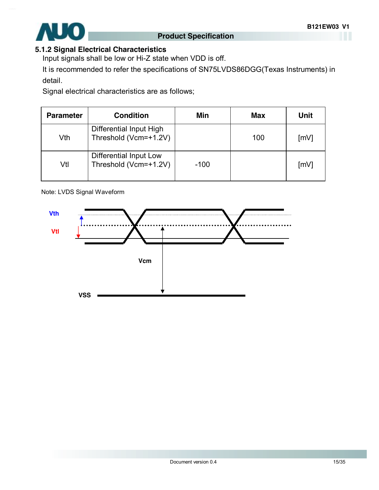

#### **5.1.2 Signal Electrical Characteristics**

Input signals shall be low or Hi-Z state when VDD is off.

It is recommended to refer the specifications of SN75LVDS86DGG(Texas Instruments) in detail.

Signal electrical characteristics are as follows;

| <b>Parameter</b> | <b>Condition</b>                                 | Min    | <b>Max</b> | <b>Unit</b>        |
|------------------|--------------------------------------------------|--------|------------|--------------------|
| Vth              | Differential Input High<br>Threshold (Vcm=+1.2V) |        | 100        | $\lceil mV \rceil$ |
| Vtl              | Differential Input Low<br>Threshold (Vcm=+1.2V)  | $-100$ |            | $\lceil mV \rceil$ |

Note: LVDS Signal Waveform

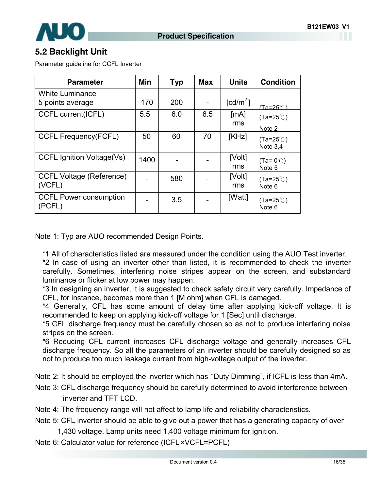

## **5.2 Backlight Unit**

Parameter guideline for CCFL Inverter

| <b>Parameter</b>                           | Min  | <b>Typ</b> | <b>Max</b> | <b>Units</b>                     | <b>Condition</b>                 |
|--------------------------------------------|------|------------|------------|----------------------------------|----------------------------------|
| <b>White Luminance</b><br>5 points average | 170  | 200        |            | $\text{\rm [cd/m}^2\text{\rm ]}$ | (Ta=25℃)                         |
| CCFL current(ICFL)                         | 5.5  | 6.0        | 6.5        | [MA]<br>rms                      | $(Ta=25^{\circ}C)$<br>Note 2     |
| <b>CCFL Frequency(FCFL)</b>                | 50   | 60         | 70         | [KHz]                            | $(Ta=25^{\circ}C)$<br>Note $3,4$ |
| <b>CCFL Ignition Voltage(Vs)</b>           | 1400 |            |            | [Volt]<br>rms                    | $(Ta=0^{\circ}C)$<br>Note 5      |
| <b>CCFL Voltage (Reference)</b><br>(VCFL)  |      | 580        |            | [Volt]<br>rms                    | $(Ta=25^{\circ}C)$<br>Note 6     |
| <b>CCFL Power consumption</b><br>(PCFL)    |      | 3.5        |            | [Watt]                           | $(Ta=25^{\circ}C)$<br>Note 6     |

Note 1: Typ are AUO recommended Design Points.

\*1 All of characteristics listed are measured under the condition using the AUO Test inverter.

\*2 In case of using an inverter other than listed, it is recommended to check the inverter carefully. Sometimes, interfering noise stripes appear on the screen, and substandard luminance or flicker at low power may happen.

\*3 In designing an inverter, it is suggested to check safety circuit very carefully. Impedance of CFL, for instance, becomes more than 1 [M ohm] when CFL is damaged.

\*4 Generally, CFL has some amount of delay time after applying kick-off voltage. It is recommended to keep on applying kick-off voltage for 1 [Sec] until discharge.

\*5 CFL discharge frequency must be carefully chosen so as not to produce interfering noise stripes on the screen.

\*6 Reducing CFL current increases CFL discharge voltage and generally increases CFL discharge frequency. So all the parameters of an inverter should be carefully designed so as not to produce too much leakage current from high-voltage output of the inverter.

Note 2: It should be employed the inverter which has "Duty Dimming", if ICFL is less than 4mA.

- Note 3: CFL discharge frequency should be carefully determined to avoid interference between inverter and TFT LCD.
- Note 4: The frequency range will not affect to lamp life and reliability characteristics.
- Note 5: CFL inverter should be able to give out a power that has a generating capacity of over
	- 1,430 voltage. Lamp units need 1,400 voltage minimum for ignition.
- Note 6: Calculator value for reference (ICFL×VCFL=PCFL)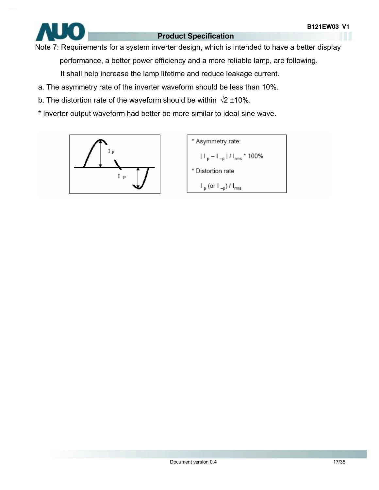

Note 7: Requirements for a system inverter design, which is intended to have a better display performance, a better power efficiency and a more reliable lamp, are following.

It shall help increase the lamp lifetime and reduce leakage current.

- a. The asymmetry rate of the inverter waveform should be less than 10%.
- b. The distortion rate of the waveform should be within  $\sqrt{2}$  ±10%.
- \* Inverter output waveform had better be more similar to ideal sine wave.



\* Asymmetry rate:  $|||_{p} - |||_{-p} ||/||_{rms}$  \* 100% \* Distortion rate  $\mathsf{I}_{\mathsf{p}}$  (or  $\mathsf{I}_{\mathsf{-p}}$ ) /  $\mathsf{I}_{\mathsf{rms}}$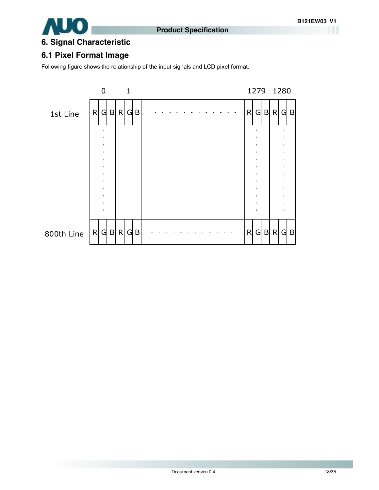

# **6. Signal Characteristic**

#### **6.1 Pixel Format Image**

Following figure shows the relationship of the input signals and LCD pixel format.

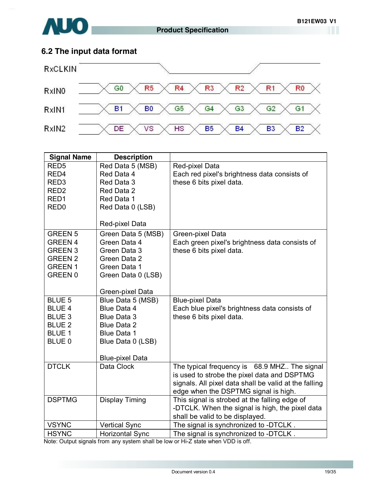# **6.2 The input data format**

**AUO** 



| <b>Signal Name</b>             | <b>Description</b>                |                                                       |
|--------------------------------|-----------------------------------|-------------------------------------------------------|
| RED <sub>5</sub>               | Red Data 5 (MSB)                  | Red-pixel Data                                        |
| RED4                           | Red Data 4                        | Each red pixel's brightness data consists of          |
| RED <sub>3</sub>               | Red Data 3                        | these 6 bits pixel data.                              |
| RED <sub>2</sub>               | Red Data 2                        |                                                       |
| RED <sub>1</sub>               | Red Data 1                        |                                                       |
| RED <sub>0</sub>               | Red Data 0 (LSB)                  |                                                       |
|                                |                                   |                                                       |
|                                | Red-pixel Data                    |                                                       |
| <b>GREEN 5</b>                 | Green Data 5 (MSB)                | Green-pixel Data                                      |
| <b>GREEN 4</b>                 | Green Data 4                      | Each green pixel's brightness data consists of        |
| <b>GREEN 3</b>                 | Green Data 3                      | these 6 bits pixel data.                              |
| <b>GREEN 2</b>                 | Green Data 2                      |                                                       |
| <b>GREEN1</b>                  | Green Data 1                      |                                                       |
| GREEN <sub>0</sub>             | Green Data 0 (LSB)                |                                                       |
|                                |                                   |                                                       |
|                                | Green-pixel Data                  |                                                       |
| <b>BLUE 5</b>                  | Blue Data 5 (MSB)                 | <b>Blue-pixel Data</b>                                |
| <b>BLUE 4</b><br><b>BLUE 3</b> | Blue Data 4<br><b>Blue Data 3</b> | Each blue pixel's brightness data consists of         |
| <b>BLUE 2</b>                  | <b>Blue Data 2</b>                | these 6 bits pixel data.                              |
| <b>BLUE 1</b>                  | Blue Data 1                       |                                                       |
| BLUE 0                         | Blue Data 0 (LSB)                 |                                                       |
|                                |                                   |                                                       |
|                                | <b>Blue-pixel Data</b>            |                                                       |
| <b>DTCLK</b>                   | Data Clock                        | The typical frequency is 68.9 MHZ The signal          |
|                                |                                   | is used to strobe the pixel data and DSPTMG           |
|                                |                                   | signals. All pixel data shall be valid at the falling |
|                                |                                   | edge when the DSPTMG signal is high.                  |
| <b>DSPTMG</b>                  | Display Timing                    | This signal is strobed at the falling edge of         |
|                                |                                   | -DTCLK. When the signal is high, the pixel data       |
|                                |                                   | shall be valid to be displayed.                       |
| <b>VSYNC</b>                   | <b>Vertical Sync</b>              | The signal is synchronized to -DTCLK.                 |
| <b>HSYNC</b>                   | <b>Horizontal Sync</b>            | The signal is synchronized to -DTCLK.                 |

Note: Output signals from any system shall be low or Hi-Z state when VDD is off.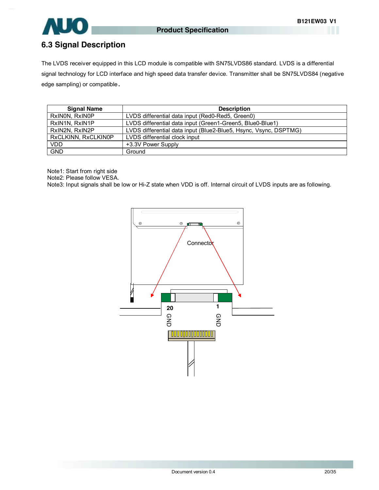

## **6.3 Signal Description**

The LVDS receiver equipped in this LCD module is compatible with SN75LVDS86 standard. LVDS is a differential signal technology for LCD interface and high speed data transfer device. Transmitter shall be SN75LVDS84 (negative edge sampling) or compatible**.** 

| <b>Signal Name</b>  | <b>Description</b>                                               |
|---------------------|------------------------------------------------------------------|
| RxINON, RxINOP      | LVDS differential data input (Red0-Red5, Green0)                 |
| RxIN1N, RxIN1P      | LVDS differential data input (Green1-Green5, Blue0-Blue1)        |
| RxIN2N, RxIN2P      | LVDS differential data input (Blue2-Blue5, Hsync, Vsync, DSPTMG) |
| RxCLKINN, RxCLKIN0P | LVDS differential clock input                                    |
| <b>VDD</b>          | +3.3V Power Supply                                               |
| <b>GND</b>          | Ground                                                           |

Note1: Start from right side

Note2: Please follow VESA.

Note3: Input signals shall be low or Hi-Z state when VDD is off. Internal circuit of LVDS inputs are as following.

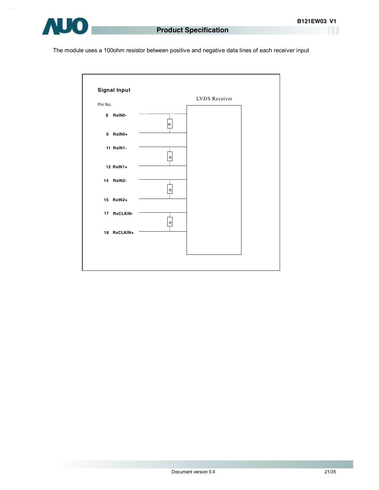

The module uses a 100ohm resistor between positive and negative data lines of each receiver input

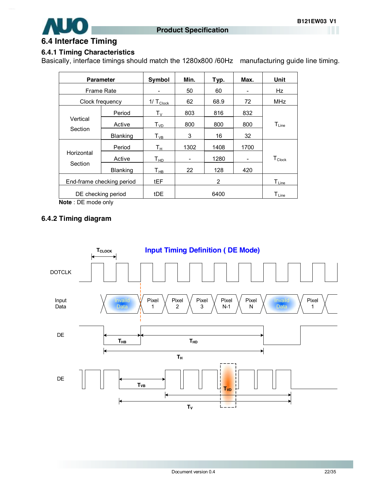

#### **6.4 Interface Timing**

#### **6.4.1 Timing Characteristics**

Basically, interface timings should match the 1280x800 /60Hz manufacturing guide line timing.

| <b>Parameter</b>          |                 | Symbol                             | Min.                     | Typ. | Max. | Unit                  |
|---------------------------|-----------------|------------------------------------|--------------------------|------|------|-----------------------|
| <b>Frame Rate</b>         |                 |                                    | 50                       | 60   |      | Hz                    |
| Clock frequency           |                 | $1/ T_{Clock}$                     | 62                       | 68.9 | 72   | MHz                   |
|                           | Period          | $\mathsf{T}_\mathsf{V}$            | 803                      | 816  | 832  |                       |
| Vertical                  | Active          | $T_{VD}$                           | 800                      | 800  | 800  | $T_{Line}$            |
| Section                   | <b>Blanking</b> | $T_{VB}$                           | 3                        | 16   | 32   |                       |
|                           | Period          | Tн                                 | 1302                     | 1408 | 1700 |                       |
| Horizontal                | Active          | ${\mathsf T}_{\underline{\sf HD}}$ | $\overline{\phantom{a}}$ | 1280 | -    | $T_{\mathsf{Clock}}$  |
| Section                   | <b>Blanking</b> | $T_{HB}$                           | 22                       | 128  | 420  |                       |
| End-frame checking period |                 | tEF                                |                          | 2    |      | $T_{\text{\rm Line}}$ |
| DE checking period        |                 | tDE                                |                          | 6400 |      | $T_{Line}$            |

**Note** : DE mode only

#### **6.4.2 Timing diagram**

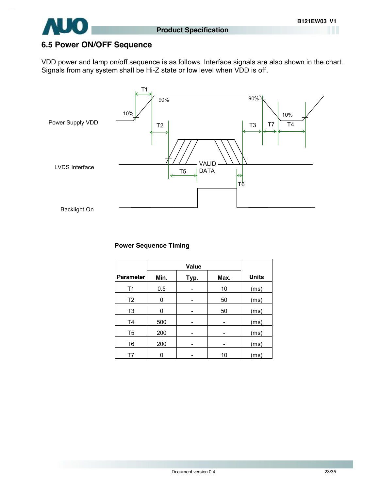

#### **6.5 Power ON/OFF Sequence**

VDD power and lamp on/off sequence is as follows. Interface signals are also shown in the chart. Signals from any system shall be Hi-Z state or low level when VDD is off.



#### **Power Sequence Timing**

|                  | Value |      |      |              |
|------------------|-------|------|------|--------------|
| <b>Parameter</b> | Min.  | Typ. | Max. | <b>Units</b> |
| T1               | 0.5   |      | 10   | (ms)         |
| T2               | 0     |      | 50   | (ms)         |
| T <sub>3</sub>   | 0     |      | 50   | (ms)         |
| T <sub>4</sub>   | 500   |      |      | (ms)         |
| T5               | 200   |      |      | (ms)         |
| T <sub>6</sub>   | 200   | -    | -    | (ms)         |
| T7               | ი     |      | 10   | (ms)         |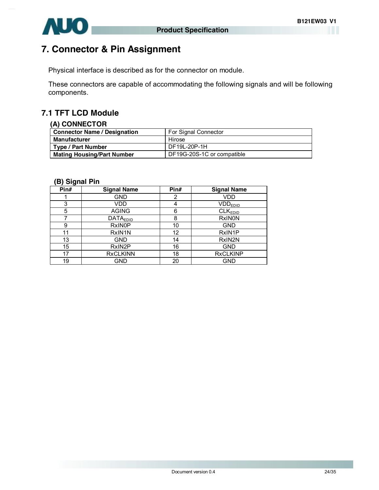

# **7. Connector & Pin Assignment**

Physical interface is described as for the connector on module.

These connectors are capable of accommodating the following signals and will be following components.

## **7.1 TFT LCD Module**

#### **(A) CONNECTOR**

| <b>Connector Name / Designation</b> | For Signal Connector       |
|-------------------------------------|----------------------------|
| Manufacturer                        | Hirose                     |
| <b>Type / Part Number</b>           | DF19L-20P-1H               |
| <b>Mating Housing/Part Number</b>   | DF19G-20S-1C or compatible |

#### **(B) Signal Pin**

| -<br>Pin# | <b>Signal Name</b> | Pin#              | <b>Signal Name</b>    |
|-----------|--------------------|-------------------|-----------------------|
|           | <b>GND</b>         | 2                 | VDD                   |
| 3         | VDD                |                   | $VDD$ <sub>EDID</sub> |
| 5         | <b>AGING</b>       | 6                 | CLK <sub>EDID</sub>   |
|           | <b>DATAEDID</b>    | 8                 | <b>RxINON</b>         |
| 9         | <b>RxINOP</b>      | 10                | <b>GND</b>            |
| 11        | RxIN1N             | $12 \overline{ }$ | RxIN1P                |
| 13        | <b>GND</b>         | 14                | RxIN <sub>2N</sub>    |
| 15        | RxIN2P             | 16                | <b>GND</b>            |
| 17        | <b>RxCLKINN</b>    | 18                | <b>RxCLKINP</b>       |
| 19        | GND                | 20                | <b>GND</b>            |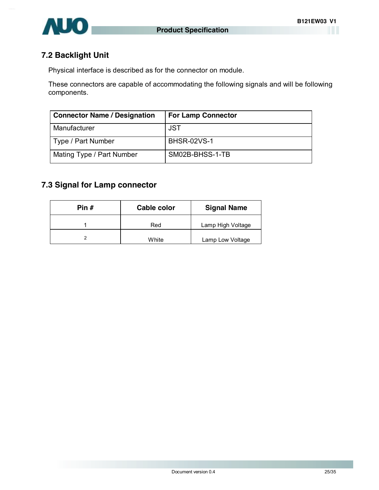

#### **7.2 Backlight Unit**

Physical interface is described as for the connector on module.

These connectors are capable of accommodating the following signals and will be following components.

| <b>Connector Name / Designation</b> | <b>For Lamp Connector</b> |
|-------------------------------------|---------------------------|
| Manufacturer                        | JST                       |
| Type / Part Number                  | <b>BHSR-02VS-1</b>        |
| Mating Type / Part Number           | SM02B-BHSS-1-TB           |

## **7.3 Signal for Lamp connector**

| Pin # | Cable color | <b>Signal Name</b> |
|-------|-------------|--------------------|
|       | Red         | Lamp High Voltage  |
| ົ     | White       | Lamp Low Voltage   |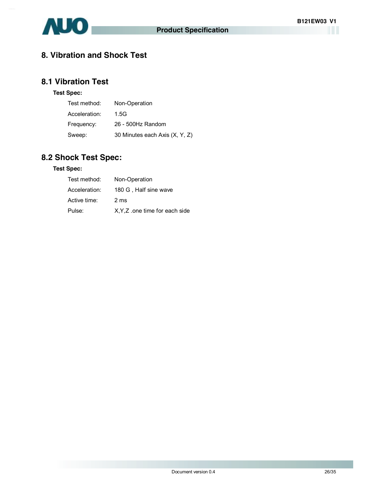

## **8. Vibration and Shock Test**

#### **8.1 Vibration Test**

#### **Test Spec:**

| Test method:  | Non-Operation                  |
|---------------|--------------------------------|
| Acceleration: | 1.5G                           |
| Frequency:    | 26 - 500Hz Random              |
| Sweep:        | 30 Minutes each Axis (X, Y, Z) |

## **8.2 Shock Test Spec:**

#### **Test Spec:**

| Test method:  | Non-Operation                  |
|---------------|--------------------------------|
| Acceleration: | 180 G, Half sine wave          |
| Active time:  | 2 ms                           |
| Pulse:        | X, Y, Z one time for each side |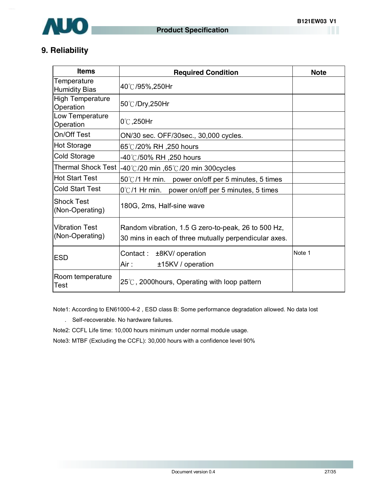

## **9. Reliability**

| <b>Items</b>                             | <b>Required Condition</b>                                                                                    | <b>Note</b> |
|------------------------------------------|--------------------------------------------------------------------------------------------------------------|-------------|
| Temperature<br><b>Humidity Bias</b>      | 40℃/95%,250Hr                                                                                                |             |
| <b>High Temperature</b><br>Operation     | 50℃/Dry,250Hr                                                                                                |             |
| Low Temperature<br>Operation             | $0^{\circ}$ C, 250Hr                                                                                         |             |
| On/Off Test                              | ON/30 sec. OFF/30sec., 30,000 cycles.                                                                        |             |
| Hot Storage                              | 65℃/20% RH ,250 hours                                                                                        |             |
| Cold Storage                             | -40℃/50% RH ,250 hours                                                                                       |             |
| <b>Thermal Shock Test</b>                | -40℃/20 min ,65℃/20 min 300cycles                                                                            |             |
| <b>Hot Start Test</b>                    | 50°C/1 Hr min. power on/off per 5 minutes, 5 times                                                           |             |
| <b>Cold Start Test</b>                   | $0^{\circ}$ C/1 Hr min.<br>power on/off per 5 minutes, 5 times                                               |             |
| <b>Shock Test</b><br>(Non-Operating)     | 180G, 2ms, Half-sine wave                                                                                    |             |
| <b>Vibration Test</b><br>(Non-Operating) | Random vibration, 1.5 G zero-to-peak, 26 to 500 Hz,<br>30 mins in each of three mutually perpendicular axes. |             |
| <b>ESD</b>                               | Contact: ±8KV/ operation<br>Air :<br>±15KV / operation                                                       | Note 1      |
| Room temperature<br><b>Test</b>          | $25^{\circ}$ C, 2000 hours, Operating with loop pattern                                                      |             |

Note1: According to EN61000-4-2 , ESD class B: Some performance degradation allowed. No data lost

. Self-recoverable. No hardware failures.

Note2: CCFL Life time: 10,000 hours minimum under normal module usage.

Note3: MTBF (Excluding the CCFL): 30,000 hours with a confidence level 90%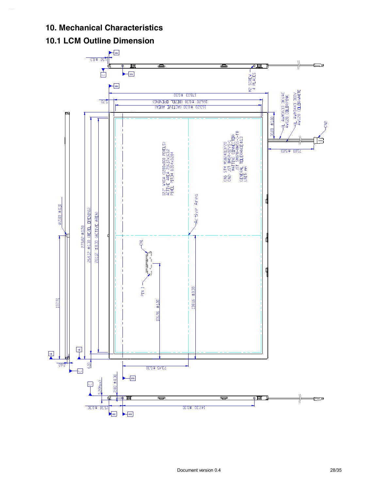#### **10. Mechanical Characteristics**

## **10.1 LCM Outline Dimension**

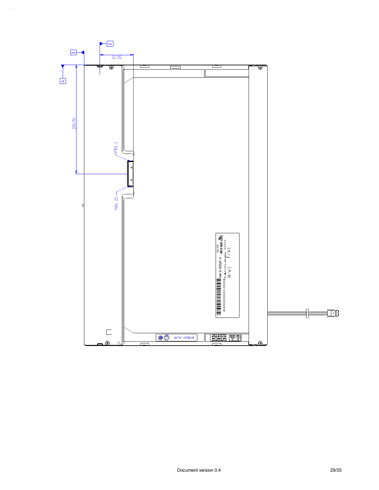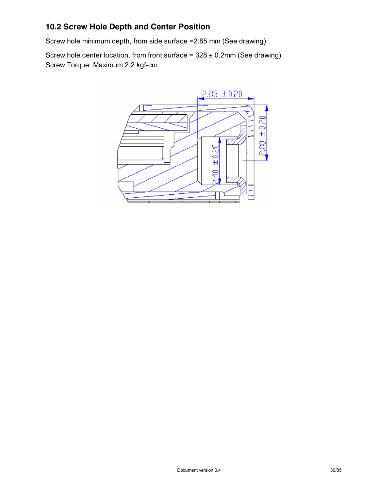### **10.2 Screw Hole Depth and Center Position**

Screw hole minimum depth, from side surface =2.85 mm (See drawing)

Screw hole center location, from front surface =  $328 \pm 0.2$ mm (See drawing) Screw Torque: Maximum 2.2 kgf-cm

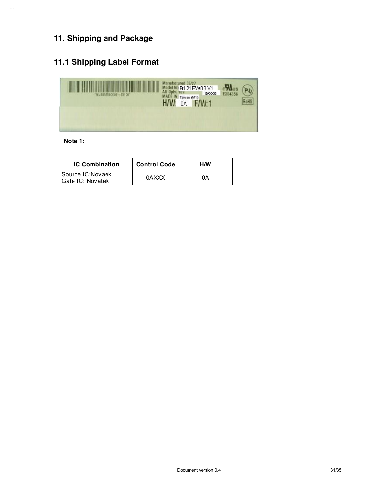# **11. Shipping and Package**

## **11.1 Shipping Label Format**



**Note 1:** 

| <b>IC Combination</b>                 | <b>Control Code</b> | H/W |
|---------------------------------------|---------------------|-----|
| Source IC: Novaek<br>Gate IC: Novatek | 0AXXX               | 0А  |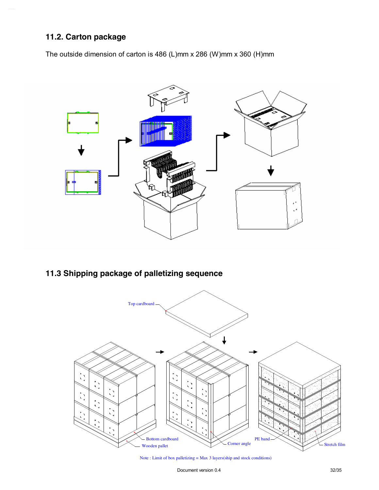## **11.2. Carton package**

The outside dimension of carton is 486 (L)mm x 286 (W)mm x 360 (H)mm



# **11.3 Shipping package of palletizing sequence**



Note : Limit of box palletizing = Max 3 layers(ship and stock conditions)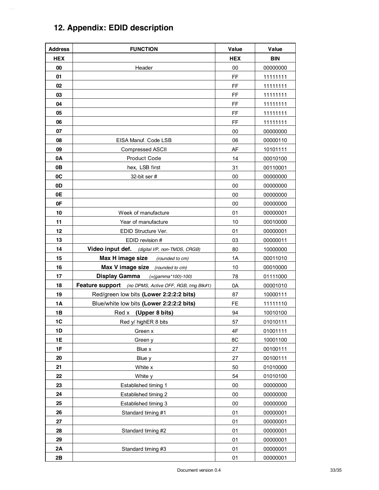# **12. Appendix: EDID description**

| <b>Address</b> | <b>FUNCTION</b>                                       | <b>Value</b> | Value      |
|----------------|-------------------------------------------------------|--------------|------------|
| <b>HEX</b>     |                                                       | <b>HEX</b>   | <b>BIN</b> |
| 00             | Header                                                | 00           | 00000000   |
| 01             |                                                       | FF           | 11111111   |
| 02             |                                                       | FF           | 11111111   |
| 03             |                                                       | FF           | 11111111   |
| 04             |                                                       | FF           | 11111111   |
| 05             |                                                       | FF           | 11111111   |
| 06             |                                                       | FF           | 11111111   |
| 07             |                                                       | 00           | 00000000   |
| 08             | EISA Manuf. Code LSB                                  | 06           | 00000110   |
| 09             | <b>Compressed ASCII</b>                               | AF           | 10101111   |
| 0A             | <b>Product Code</b>                                   | 14           | 00010100   |
| 0B             | hex, LSB first                                        | 31           | 00110001   |
| 0C             | 32-bit ser #                                          | 00           | 00000000   |
| 0D             |                                                       | 00           | 00000000   |
| 0E             |                                                       | 00           | 00000000   |
| 0F             |                                                       | 00           | 00000000   |
| 10             | Week of manufacture                                   | 01           | 00000001   |
| 11             | Year of manufacture                                   | 10           | 00010000   |
| 12             | EDID Structure Ver.                                   | 01           | 00000001   |
| 13             | EDID revision #                                       | 03           | 00000011   |
| 14             | Video input def.<br>(digital I/P, non-TMDS, CRGB)     | 80           | 10000000   |
| 15             | Max H image size<br>(rounded to cm)                   | 1A           | 00011010   |
| 16             | Max V image size<br>(rounded to cm)                   | 10           | 00010000   |
| 17             | Display Gamma<br>(=(gamma*100)-100)                   | 78           | 01111000   |
| 18             | Feature support (no DPMS, Active OFF, RGB, tmg Blk#1) | 0A           | 00001010   |
| 19             | Red/green low bits (Lower 2:2:2:2 bits)               | 87           | 10000111   |
| <b>1A</b>      | Blue/white low bits (Lower 2:2:2:2 bits)              | FE           | 11111110   |
| 1B             | Red x (Upper 8 bits)                                  | 94           | 10010100   |
| 1 <sup>C</sup> | Red y/ highER 8 bits                                  | 57           | 01010111   |
| 1D             | Green x                                               | 4F           | 01001111   |
| 1E             | Green y                                               | 8C           | 10001100   |
| 1F             | Blue x                                                | 27           | 00100111   |
| 20             | Blue y                                                | 27           | 00100111   |
| 21             | White x                                               | 50           | 01010000   |
| 22             | White y                                               | 54           | 01010100   |
| 23             | Established timing 1                                  | 00           | 00000000   |
| 24             | Established timing 2                                  | 00           | 00000000   |
| 25             | Established timing 3                                  | 00           | 00000000   |
| 26             | Standard timing #1                                    | 01           | 00000001   |
| 27             |                                                       | 01           | 00000001   |
| 28             | Standard timing #2                                    | 01           | 00000001   |
| 29             |                                                       | 01           | 00000001   |
| 2A             | Standard timing #3                                    | 01           | 00000001   |
| 2B             |                                                       | 01           | 00000001   |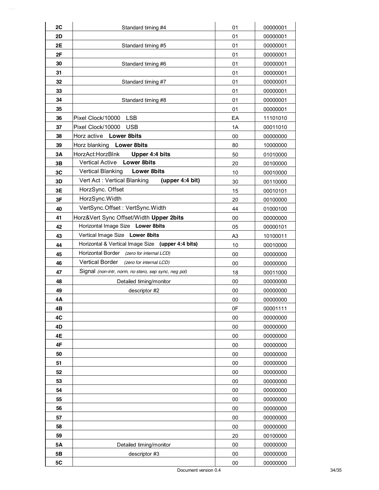| 2C        | Standard timing #4                                   | 01             | 00000001 |
|-----------|------------------------------------------------------|----------------|----------|
| 2D        |                                                      | 01             | 00000001 |
| 2E        | Standard timing #5                                   | 01             | 00000001 |
| 2F        |                                                      | 01             | 00000001 |
| 30        | Standard timing #6                                   | 01             | 00000001 |
| 31        |                                                      | 01             | 00000001 |
| 32        | Standard timing #7                                   | 01             | 00000001 |
| 33        |                                                      | 01             | 00000001 |
| 34        | Standard timing #8                                   | 01             | 00000001 |
| 35        |                                                      | 01             | 00000001 |
| 36        | <b>LSB</b><br>Pixel Clock/10000                      | EA             | 11101010 |
| 37        | Pixel Clock/10000<br><b>USB</b>                      | 1A             | 00011010 |
| 38        | Horz active Lower 8bits                              | 00             | 00000000 |
| 39        | Horz blanking Lower 8bits                            | 80             | 10000000 |
| 3A        | HorzAct:HorzBlnk<br>Upper 4:4 bits                   | 50             | 01010000 |
| 3B        | Vertical Active Lower 8bits                          | 20             | 00100000 |
| 3C        | <b>Vertical Blanking</b><br><b>Lower 8bits</b>       | 10             | 00010000 |
| 3D        | Vert Act: Vertical Blanking<br>(upper $4:4$ bit)     | 30             | 00110000 |
| 3E        | HorzSync. Offset                                     | 15             | 00010101 |
| 3F        | HorzSync.Width                                       | 20             | 00100000 |
| 40        | VertSync.Offset: VertSync.Width                      | 44             | 01000100 |
| 41        | Horz‖ Sync Offset/Width Upper 2bits                  | 00             | 00000000 |
| 42        | Horizontal Image Size Lower 8bits                    | 05             | 00000101 |
| 43        | Vertical Image Size Lower 8bits                      | A <sub>3</sub> | 10100011 |
| 44        | Horizontal & Vertical Image Size (upper 4:4 bits)    | 10             | 00010000 |
| 45        | Horizontal Border (zero for internal LCD)            | 00             | 00000000 |
| 46        | <b>Vertical Border</b><br>(zero for internal LCD)    | 00             | 00000000 |
| 47        | Signal (non-intr, norm, no stero, sep sync, neg pol) | 18             | 00011000 |
| 48        | Detailed timing/monitor                              | 00             | 00000000 |
| 49        | descriptor #2                                        | 00             | 00000000 |
| 4Α        |                                                      | ${\bf 00}$     | 00000000 |
| 4B        |                                                      | 0F             | 00001111 |
| 4C        |                                                      | 00             | 00000000 |
| 4D        |                                                      | 00             | 00000000 |
| 4E        |                                                      | 00             | 00000000 |
| 4F        |                                                      | 00             | 00000000 |
| 50        |                                                      | 00             | 00000000 |
| 51        |                                                      | 00             | 00000000 |
| 52        |                                                      | 00             | 00000000 |
| 53        |                                                      | 00             | 00000000 |
| 54        |                                                      | 00             | 00000000 |
| 55        |                                                      | 00             | 00000000 |
| 56        |                                                      | 00             | 00000000 |
| 57        |                                                      | 00             | 00000000 |
| 58        |                                                      | 00             | 00000000 |
| 59        |                                                      | 20             | 00100000 |
| <b>5A</b> | Detailed timing/monitor                              | 00             | 00000000 |
| 5B        | descriptor #3                                        | 00             | 00000000 |
| 5C        |                                                      | 00             | 00000000 |